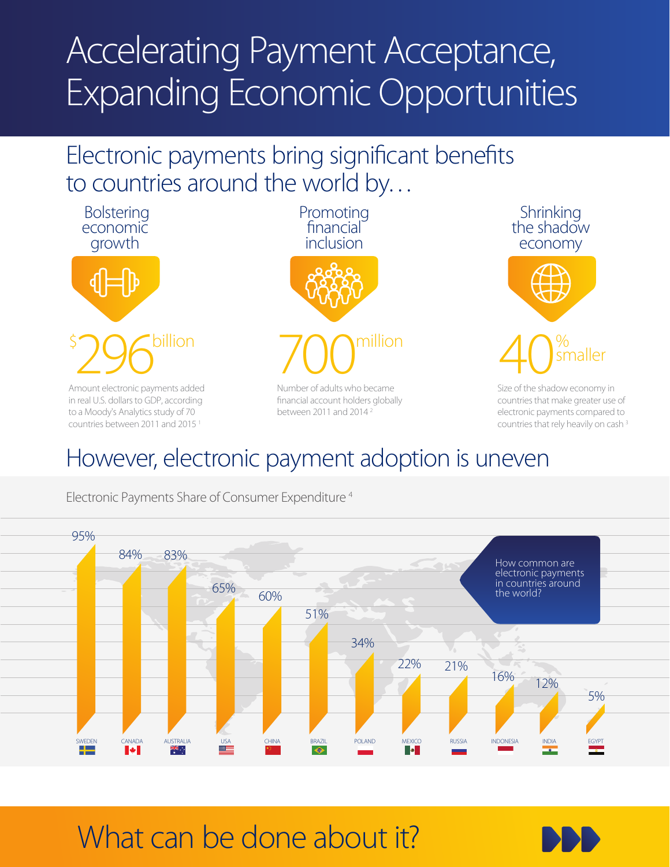# Accelerating Payment Acceptance, Expanding Economic Opportunities

### Electronic payments bring significant benefits to countries around the world by…





Size of the shadow economy in countries that make greater use of electronic payments compared to countries that rely heavily on cash 3

### However, electronic payment adoption is uneven



Electronic Payments Share of Consumer Expenditure 4

## What can be done about it?